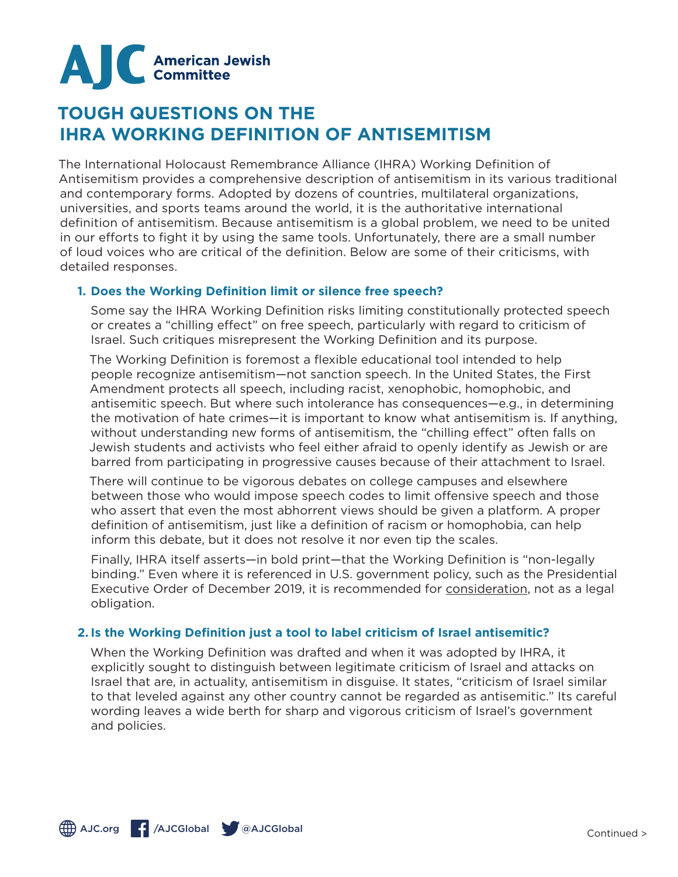

# **TOUGH QUESTIONS ON THE IHRA WORKING DEFINITION OF ANTISEMITISM**

The International Holocaust Remembrance Alliance (IHRA) Working Definition of Antisemitism provides a comprehensive description of antisemitism in its various traditional and contemporary forms. Adopted by dozens of countries, multilateral organizations, universities, and sports teams around the world, it is the authoritative international definition of antisemitism. Because antisemitism is a global problem, we need to be united in our efforts to fight it by using the same tools. Unfortunately, there are a small number of loud voices who are critical of the definition. Below are some of their criticisms, with detailed responses.

## **1. Does the Working Definition limit or silence free speech?**

Some say the IHRA Working Definition risks limiting constitutionally protected speech or creates a "chilling effect" on free speech, particularly with regard to criticism of Israel. Such critiques misrepresent the Working Definition and its purpose.

The Working Definition is foremost a flexible educational tool intended to help people recognize antisemitism—not sanction speech. In the United States, the First Amendment protects all speech, including racist, xenophobic, homophobic, and antisemitic speech. But where such intolerance has consequences—e.g., in determining the motivation of hate crimes—it is important to know what antisemitism is. If anything, without understanding new forms of antisemitism, the "chilling effect" often falls on Jewish students and activists who feel either afraid to openly identify as Jewish or are barred from participating in progressive causes because of their attachment to Israel.

There will continue to be vigorous debates on college campuses and elsewhere between those who would impose speech codes to limit offensive speech and those who assert that even the most abhorrent views should be given a platform. A proper definition of antisemitism, just like a definition of racism or homophobia, can help inform this debate, but it does not resolve it nor even tip the scales.

Finally, IHRA itself asserts—in bold print—that the Working Definition is "non-legally binding." Even where it is referenced in U.S. government policy, such as the Presidential Executive Order of December 2019, it is recommended for consideration, not as a legal obligation.

# **2. Is the Working Definition just a tool to label criticism of Israel antisemitic?**

When the Working Definition was drafted and when it was adopted by IHRA, it explicitly sought to distinguish between legitimate criticism of Israel and attacks on Israel that are, in actuality, antisemitism in disguise. It states, "criticism of Israel similar to that leveled against any other country cannot be regarded as antisemitic." Its careful wording leaves a wide berth for sharp and vigorous criticism of Israel's government and policies.

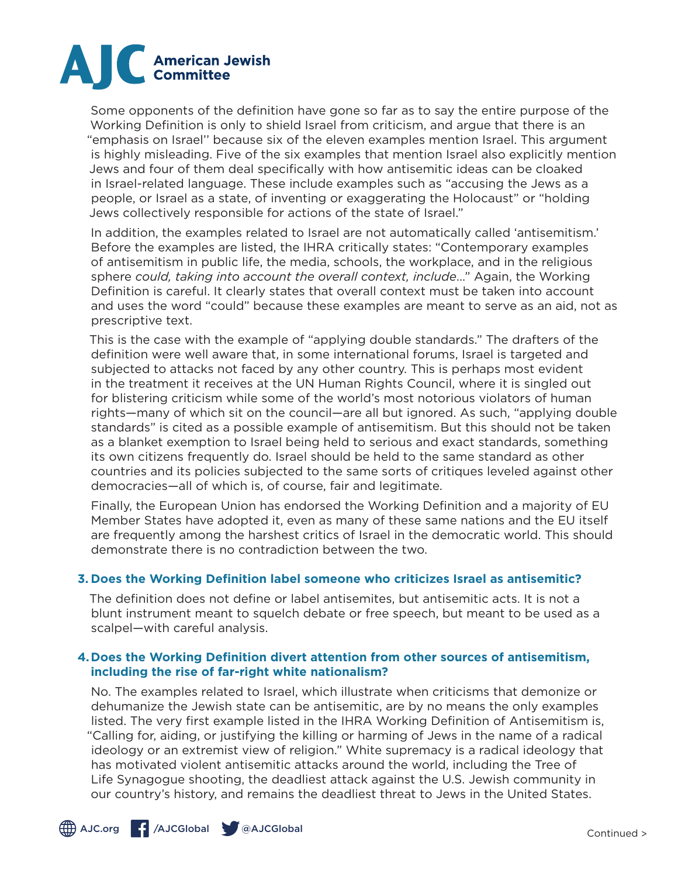

Some opponents of the definition have gone so far as to say the entire purpose of the Working Definition is only to shield Israel from criticism, and argue that there is an "emphasis on Israel'' because six of the eleven examples mention Israel. This argument is highly misleading. Five of the six examples that mention Israel also explicitly mention Jews and four of them deal specifically with how antisemitic ideas can be cloaked in Israel-related language. These include examples such as "accusing the Jews as a people, or Israel as a state, of inventing or exaggerating the Holocaust" or "holding Jews collectively responsible for actions of the state of Israel."

In addition, the examples related to Israel are not automatically called 'antisemitism.' Before the examples are listed, the IHRA critically states: "Contemporary examples of antisemitism in public life, the media, schools, the workplace, and in the religious sphere *could, taking into account the overall context, include*…" Again, the Working Definition is careful. It clearly states that overall context must be taken into account and uses the word "could" because these examples are meant to serve as an aid, not as prescriptive text.

This is the case with the example of "applying double standards." The drafters of the definition were well aware that, in some international forums, Israel is targeted and subjected to attacks not faced by any other country. This is perhaps most evident in the treatment it receives at the UN Human Rights Council, where it is singled out for blistering criticism while some of the world's most notorious violators of human rights—many of which sit on the council—are all but ignored. As such, "applying double standards" is cited as a possible example of antisemitism. But this should not be taken as a blanket exemption to Israel being held to serious and exact standards, something its own citizens frequently do. Israel should be held to the same standard as other countries and its policies subjected to the same sorts of critiques leveled against other democracies—all of which is, of course, fair and legitimate.

Finally, the European Union has endorsed the Working Definition and a majority of EU Member States have adopted it, even as many of these same nations and the EU itself are frequently among the harshest critics of Israel in the democratic world. This should demonstrate there is no contradiction between the two.

# **3. Does the Working Definition label someone who criticizes Israel as antisemitic?**

The definition does not define or label antisemites, but antisemitic acts. It is not a blunt instrument meant to squelch debate or free speech, but meant to be used as a scalpel—with careful analysis.

#### **4.Does the Working Definition divert attention from other sources of antisemitism, including the rise of far-right white nationalism?**

No. The examples related to Israel, which illustrate when criticisms that demonize or dehumanize the Jewish state can be antisemitic, are by no means the only examples listed. The very first example listed in the IHRA Working Definition of Antisemitism is, "Calling for, aiding, or justifying the killing or harming of Jews in the name of a radical ideology or an extremist view of religion." White supremacy is a radical ideology that has motivated violent antisemitic attacks around the world, including the Tree of Life Synagogue shooting, the deadliest attack against the U.S. Jewish community in our country's history, and remains the deadliest threat to Jews in the United States.